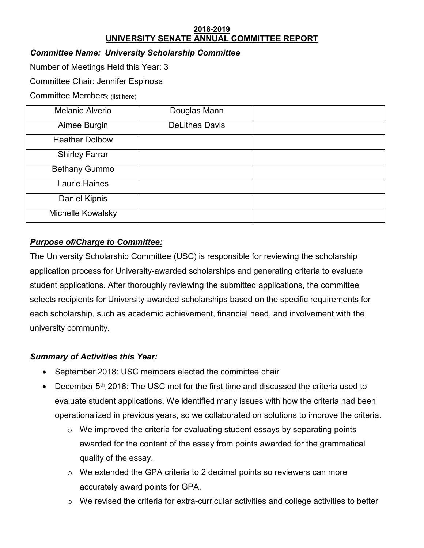#### **2018-2019 UNIVERSITY SENATE ANNUAL COMMITTEE REPORT**

## *Committee Name: University Scholarship Committee*

Number of Meetings Held this Year: 3

Committee Chair: Jennifer Espinosa

Committee Members: (list here)

| <b>Melanie Alverio</b> | Douglas Mann          |  |
|------------------------|-----------------------|--|
| Aimee Burgin           | <b>DeLithea Davis</b> |  |
| <b>Heather Dolbow</b>  |                       |  |
| <b>Shirley Farrar</b>  |                       |  |
| <b>Bethany Gummo</b>   |                       |  |
| Laurie Haines          |                       |  |
| <b>Daniel Kipnis</b>   |                       |  |
| Michelle Kowalsky      |                       |  |

# *Purpose of/Charge to Committee:*

The University Scholarship Committee (USC) is responsible for reviewing the scholarship application process for University-awarded scholarships and generating criteria to evaluate student applications. After thoroughly reviewing the submitted applications, the committee selects recipients for University-awarded scholarships based on the specific requirements for each scholarship, such as academic achievement, financial need, and involvement with the university community.

# *Summary of Activities this Year:*

- September 2018: USC members elected the committee chair
- December 5<sup>th</sup>, 2018: The USC met for the first time and discussed the criteria used to evaluate student applications. We identified many issues with how the criteria had been operationalized in previous years, so we collaborated on solutions to improve the criteria.
	- $\circ$  We improved the criteria for evaluating student essays by separating points awarded for the content of the essay from points awarded for the grammatical quality of the essay.
	- o We extended the GPA criteria to 2 decimal points so reviewers can more accurately award points for GPA.
	- $\circ$  We revised the criteria for extra-curricular activities and college activities to better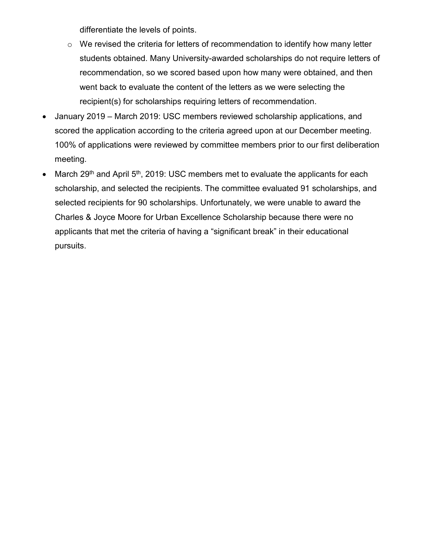differentiate the levels of points.

- $\circ$  We revised the criteria for letters of recommendation to identify how many letter students obtained. Many University-awarded scholarships do not require letters of recommendation, so we scored based upon how many were obtained, and then went back to evaluate the content of the letters as we were selecting the recipient(s) for scholarships requiring letters of recommendation.
- January 2019 March 2019: USC members reviewed scholarship applications, and scored the application according to the criteria agreed upon at our December meeting. 100% of applications were reviewed by committee members prior to our first deliberation meeting.
- March 29<sup>th</sup> and April  $5<sup>th</sup>$ , 2019: USC members met to evaluate the applicants for each scholarship, and selected the recipients. The committee evaluated 91 scholarships, and selected recipients for 90 scholarships. Unfortunately, we were unable to award the Charles & Joyce Moore for Urban Excellence Scholarship because there were no applicants that met the criteria of having a "significant break" in their educational pursuits.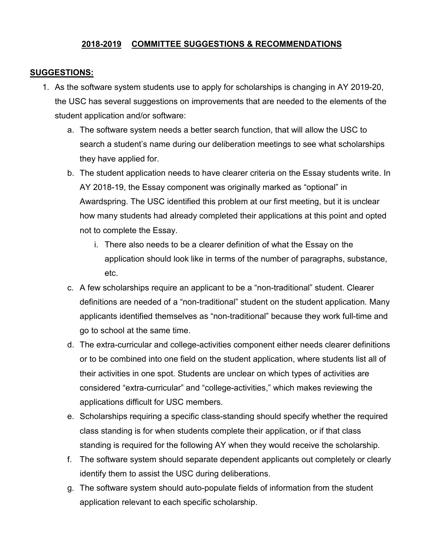## **2018-2019 COMMITTEE SUGGESTIONS & RECOMMENDATIONS**

#### **SUGGESTIONS:**

- 1. As the software system students use to apply for scholarships is changing in AY 2019-20, the USC has several suggestions on improvements that are needed to the elements of the student application and/or software:
	- a. The software system needs a better search function, that will allow the USC to search a student's name during our deliberation meetings to see what scholarships they have applied for.
	- b. The student application needs to have clearer criteria on the Essay students write. In AY 2018-19, the Essay component was originally marked as "optional" in Awardspring. The USC identified this problem at our first meeting, but it is unclear how many students had already completed their applications at this point and opted not to complete the Essay.
		- i. There also needs to be a clearer definition of what the Essay on the application should look like in terms of the number of paragraphs, substance, etc.
	- c. A few scholarships require an applicant to be a "non-traditional" student. Clearer definitions are needed of a "non-traditional" student on the student application. Many applicants identified themselves as "non-traditional" because they work full-time and go to school at the same time.
	- d. The extra-curricular and college-activities component either needs clearer definitions or to be combined into one field on the student application, where students list all of their activities in one spot. Students are unclear on which types of activities are considered "extra-curricular" and "college-activities," which makes reviewing the applications difficult for USC members.
	- e. Scholarships requiring a specific class-standing should specify whether the required class standing is for when students complete their application, or if that class standing is required for the following AY when they would receive the scholarship.
	- f. The software system should separate dependent applicants out completely or clearly identify them to assist the USC during deliberations.
	- g. The software system should auto-populate fields of information from the student application relevant to each specific scholarship.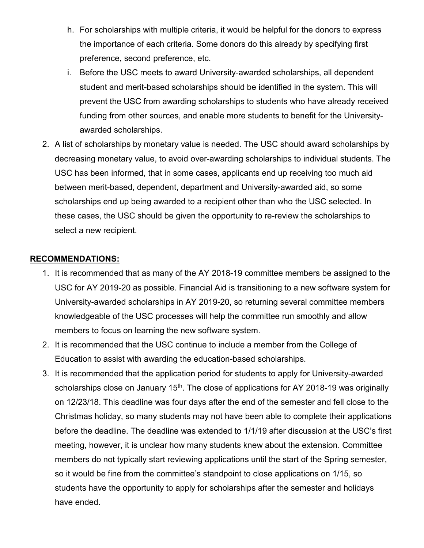- h. For scholarships with multiple criteria, it would be helpful for the donors to express the importance of each criteria. Some donors do this already by specifying first preference, second preference, etc.
- i. Before the USC meets to award University-awarded scholarships, all dependent student and merit-based scholarships should be identified in the system. This will prevent the USC from awarding scholarships to students who have already received funding from other sources, and enable more students to benefit for the Universityawarded scholarships.
- 2. A list of scholarships by monetary value is needed. The USC should award scholarships by decreasing monetary value, to avoid over-awarding scholarships to individual students. The USC has been informed, that in some cases, applicants end up receiving too much aid between merit-based, dependent, department and University-awarded aid, so some scholarships end up being awarded to a recipient other than who the USC selected. In these cases, the USC should be given the opportunity to re-review the scholarships to select a new recipient.

### **RECOMMENDATIONS:**

- 1. It is recommended that as many of the AY 2018-19 committee members be assigned to the USC for AY 2019-20 as possible. Financial Aid is transitioning to a new software system for University-awarded scholarships in AY 2019-20, so returning several committee members knowledgeable of the USC processes will help the committee run smoothly and allow members to focus on learning the new software system.
- 2. It is recommended that the USC continue to include a member from the College of Education to assist with awarding the education-based scholarships.
- 3. It is recommended that the application period for students to apply for University-awarded scholarships close on January  $15<sup>th</sup>$ . The close of applications for AY 2018-19 was originally on 12/23/18. This deadline was four days after the end of the semester and fell close to the Christmas holiday, so many students may not have been able to complete their applications before the deadline. The deadline was extended to 1/1/19 after discussion at the USC's first meeting, however, it is unclear how many students knew about the extension. Committee members do not typically start reviewing applications until the start of the Spring semester, so it would be fine from the committee's standpoint to close applications on 1/15, so students have the opportunity to apply for scholarships after the semester and holidays have ended.